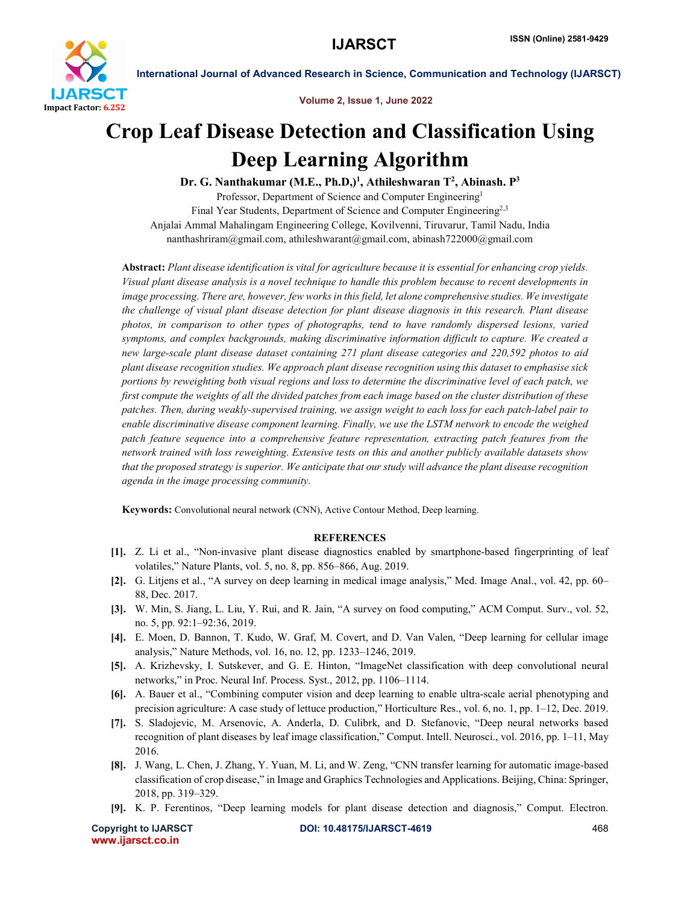

International Journal of Advanced Research in Science, Communication and Technology (IJARSCT)

Volume 2, Issue 1, June 2022

# Crop Leaf Disease Detection and Classification Using Deep Learning Algorithm

Dr. G. Nanthakumar (M.E., Ph.D,)<sup>1</sup>, Athileshwaran T<sup>2</sup>, Abinash. P<sup>3</sup> Professor, Department of Science and Computer Engineering<sup>1</sup>

Final Year Students, Department of Science and Computer Engineering<sup>2,3</sup> Anjalai Ammal Mahalingam Engineering College, Kovilvenni, Tiruvarur, Tamil Nadu, India nanthashriram@gmail.com, athileshwarant@gmail.com, abinash722000@gmail.com

Abstract: *Plant disease identification is vital for agriculture because it is essential for enhancing crop yields. Visual plant disease analysis is a novel technique to handle this problem because to recent developments in image processing. There are, however, few works in this field, let alone comprehensive studies. We investigate the challenge of visual plant disease detection for plant disease diagnosis in this research. Plant disease photos, in comparison to other types of photographs, tend to have randomly dispersed lesions, varied symptoms, and complex backgrounds, making discriminative information difficult to capture. We created a new large-scale plant disease dataset containing 271 plant disease categories and 220,592 photos to aid plant disease recognition studies. We approach plant disease recognition using this dataset to emphasise sick portions by reweighting both visual regions and loss to determine the discriminative level of each patch, we first compute the weights of all the divided patches from each image based on the cluster distribution of these patches. Then, during weakly-supervised training, we assign weight to each loss for each patch-label pair to enable discriminative disease component learning. Finally, we use the LSTM network to encode the weighed patch feature sequence into a comprehensive feature representation, extracting patch features from the network trained with loss reweighting. Extensive tests on this and another publicly available datasets show that the proposed strategy is superior. We anticipate that our study will advance the plant disease recognition agenda in the image processing community.*

Keywords: Convolutional neural network (CNN), Active Contour Method, Deep learning.

# **REFERENCES**

- [1]. Z. Li et al., "Non-invasive plant disease diagnostics enabled by smartphone-based fingerprinting of leaf volatiles," Nature Plants, vol. 5, no. 8, pp. 856–866, Aug. 2019.
- [2]. G. Litjens et al., "A survey on deep learning in medical image analysis," Med. Image Anal., vol. 42, pp. 60– 88, Dec. 2017.
- [3]. W. Min, S. Jiang, L. Liu, Y. Rui, and R. Jain, "A survey on food computing," ACM Comput. Surv., vol. 52, no. 5, pp. 92:1–92:36, 2019.
- [4]. E. Moen, D. Bannon, T. Kudo, W. Graf, M. Covert, and D. Van Valen, "Deep learning for cellular image analysis," Nature Methods, vol. 16, no. 12, pp. 1233–1246, 2019.
- [5]. A. Krizhevsky, I. Sutskever, and G. E. Hinton, "ImageNet classification with deep convolutional neural networks," in Proc. Neural Inf. Process. Syst., 2012, pp. 1106–1114.
- [6]. A. Bauer et al., "Combining computer vision and deep learning to enable ultra-scale aerial phenotyping and precision agriculture: A case study of lettuce production," Horticulture Res., vol. 6, no. 1, pp. 1–12, Dec. 2019.
- [7]. S. Sladojevic, M. Arsenovic, A. Anderla, D. Culibrk, and D. Stefanovic, "Deep neural networks based recognition of plant diseases by leaf image classification," Comput. Intell. Neurosci., vol. 2016, pp. 1–11, May 2016.
- [8]. J. Wang, L. Chen, J. Zhang, Y. Yuan, M. Li, and W. Zeng, "CNN transfer learning for automatic image-based classification of crop disease," in Image and Graphics Technologies and Applications. Beijing, China: Springer, 2018, pp. 319–329.
- [9]. K. P. Ferentinos, "Deep learning models for plant disease detection and diagnosis," Comput. Electron.

www.ijarsct.co.in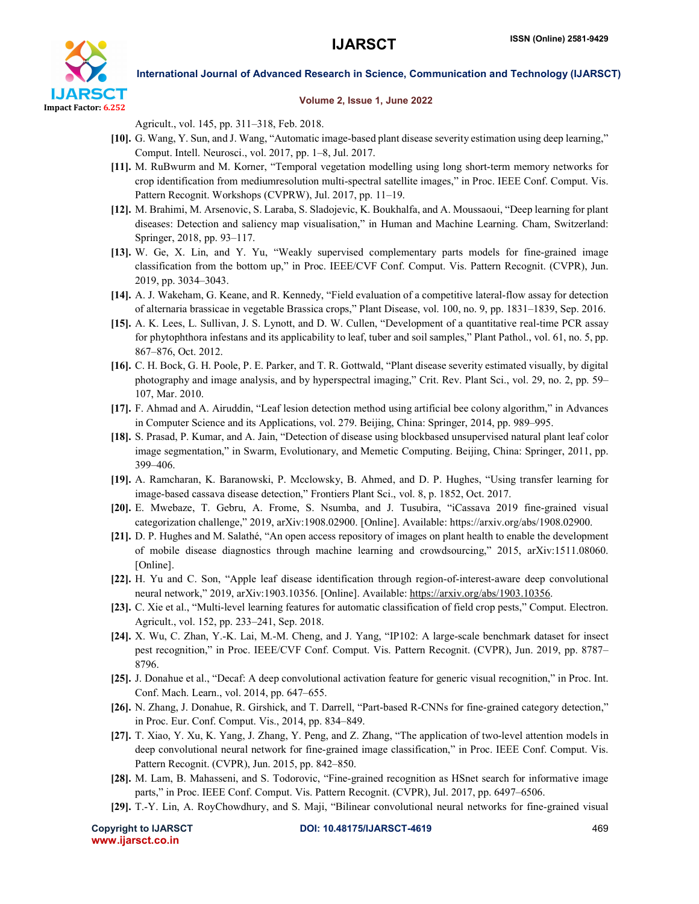

# International Journal of Advanced Research in Science, Communication and Technology (IJARSCT)

### Volume 2, Issue 1, June 2022

Agricult., vol. 145, pp. 311–318, Feb. 2018.

- [10]. G. Wang, Y. Sun, and J. Wang, "Automatic image-based plant disease severity estimation using deep learning," Comput. Intell. Neurosci., vol. 2017, pp. 1–8, Jul. 2017.
- [11]. M. RuBwurm and M. Korner, "Temporal vegetation modelling using long short-term memory networks for crop identification from mediumresolution multi-spectral satellite images," in Proc. IEEE Conf. Comput. Vis. Pattern Recognit. Workshops (CVPRW), Jul. 2017, pp. 11–19.
- [12]. M. Brahimi, M. Arsenovic, S. Laraba, S. Sladojevic, K. Boukhalfa, and A. Moussaoui, "Deep learning for plant diseases: Detection and saliency map visualisation," in Human and Machine Learning. Cham, Switzerland: Springer, 2018, pp. 93–117.
- [13]. W. Ge, X. Lin, and Y. Yu, "Weakly supervised complementary parts models for fine-grained image classification from the bottom up," in Proc. IEEE/CVF Conf. Comput. Vis. Pattern Recognit. (CVPR), Jun. 2019, pp. 3034–3043.
- [14]. A. J. Wakeham, G. Keane, and R. Kennedy, "Field evaluation of a competitive lateral-flow assay for detection of alternaria brassicae in vegetable Brassica crops," Plant Disease, vol. 100, no. 9, pp. 1831–1839, Sep. 2016.
- [15]. A. K. Lees, L. Sullivan, J. S. Lynott, and D. W. Cullen, "Development of a quantitative real-time PCR assay for phytophthora infestans and its applicability to leaf, tuber and soil samples," Plant Pathol., vol. 61, no. 5, pp. 867–876, Oct. 2012.
- [16]. C. H. Bock, G. H. Poole, P. E. Parker, and T. R. Gottwald, "Plant disease severity estimated visually, by digital photography and image analysis, and by hyperspectral imaging," Crit. Rev. Plant Sci., vol. 29, no. 2, pp. 59– 107, Mar. 2010.
- [17]. F. Ahmad and A. Airuddin, "Leaf lesion detection method using artificial bee colony algorithm," in Advances in Computer Science and its Applications, vol. 279. Beijing, China: Springer, 2014, pp. 989–995.
- [18]. S. Prasad, P. Kumar, and A. Jain, "Detection of disease using blockbased unsupervised natural plant leaf color image segmentation," in Swarm, Evolutionary, and Memetic Computing. Beijing, China: Springer, 2011, pp. 399–406.
- [19]. A. Ramcharan, K. Baranowski, P. Mcclowsky, B. Ahmed, and D. P. Hughes, "Using transfer learning for image-based cassava disease detection," Frontiers Plant Sci., vol. 8, p. 1852, Oct. 2017.
- [20]. E. Mwebaze, T. Gebru, A. Frome, S. Nsumba, and J. Tusubira, "iCassava 2019 fine-grained visual categorization challenge," 2019, arXiv:1908.02900. [Online]. Available: https://arxiv.org/abs/1908.02900.
- [21]. D. P. Hughes and M. Salathé, "An open access repository of images on plant health to enable the development of mobile disease diagnostics through machine learning and crowdsourcing," 2015, arXiv:1511.08060. [Online].
- [22]. H. Yu and C. Son, "Apple leaf disease identification through region-of-interest-aware deep convolutional neural network," 2019, arXiv:1903.10356. [Online]. Available: https://arxiv.org/abs/1903.10356.
- [23]. C. Xie et al., "Multi-level learning features for automatic classification of field crop pests," Comput. Electron. Agricult., vol. 152, pp. 233–241, Sep. 2018.
- [24]. X. Wu, C. Zhan, Y.-K. Lai, M.-M. Cheng, and J. Yang, "IP102: A large-scale benchmark dataset for insect pest recognition," in Proc. IEEE/CVF Conf. Comput. Vis. Pattern Recognit. (CVPR), Jun. 2019, pp. 8787– 8796.
- [25]. J. Donahue et al., "Decaf: A deep convolutional activation feature for generic visual recognition," in Proc. Int. Conf. Mach. Learn., vol. 2014, pp. 647–655.
- [26]. N. Zhang, J. Donahue, R. Girshick, and T. Darrell, "Part-based R-CNNs for fine-grained category detection," in Proc. Eur. Conf. Comput. Vis., 2014, pp. 834–849.
- [27]. T. Xiao, Y. Xu, K. Yang, J. Zhang, Y. Peng, and Z. Zhang, "The application of two-level attention models in deep convolutional neural network for fine-grained image classification," in Proc. IEEE Conf. Comput. Vis. Pattern Recognit. (CVPR), Jun. 2015, pp. 842–850.
- [28]. M. Lam, B. Mahasseni, and S. Todorovic, "Fine-grained recognition as HSnet search for informative image parts," in Proc. IEEE Conf. Comput. Vis. Pattern Recognit. (CVPR), Jul. 2017, pp. 6497–6506.
- [29]. T.-Y. Lin, A. RoyChowdhury, and S. Maji, "Bilinear convolutional neural networks for fine-grained visual